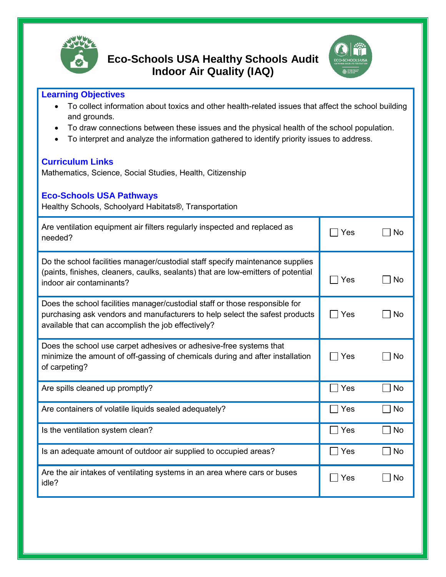

## **Eco-Schools USA Healthy Schools Audit Indoor Air Quality (IAQ)**



## **Learning Objectives**

- To collect information about toxics and other health-related issues that affect the school building and grounds.
- To draw connections between these issues and the physical health of the school population.
- To interpret and analyze the information gathered to identify priority issues to address.

## **Curriculum Links**

Mathematics, Science, Social Studies, Health, Citizenship

| <b>Eco-Schools USA Pathways</b><br>Healthy Schools, Schoolyard Habitats®, Transportation                                                                                                                         |     |    |
|------------------------------------------------------------------------------------------------------------------------------------------------------------------------------------------------------------------|-----|----|
| Are ventilation equipment air filters regularly inspected and replaced as<br>needed?                                                                                                                             | Yes | No |
| Do the school facilities manager/custodial staff specify maintenance supplies<br>(paints, finishes, cleaners, caulks, sealants) that are low-emitters of potential<br>indoor air contaminants?                   | Yes | No |
| Does the school facilities manager/custodial staff or those responsible for<br>purchasing ask vendors and manufacturers to help select the safest products<br>available that can accomplish the job effectively? | Yes | No |
| Does the school use carpet adhesives or adhesive-free systems that<br>minimize the amount of off-gassing of chemicals during and after installation<br>of carpeting?                                             | Yes | No |
| Are spills cleaned up promptly?                                                                                                                                                                                  | Yes | No |
| Are containers of volatile liquids sealed adequately?                                                                                                                                                            | Yes | No |
|                                                                                                                                                                                                                  |     |    |

Is the ventilation system clean? In the ventilation system clean?

Is an adequate amount of outdoor air supplied to occupied areas?  $\Box$  Yes  $\Box$  No

Are the air intakes of ventilating systems in an area where cars or buses  $\Box$  Yes  $\Box$  No